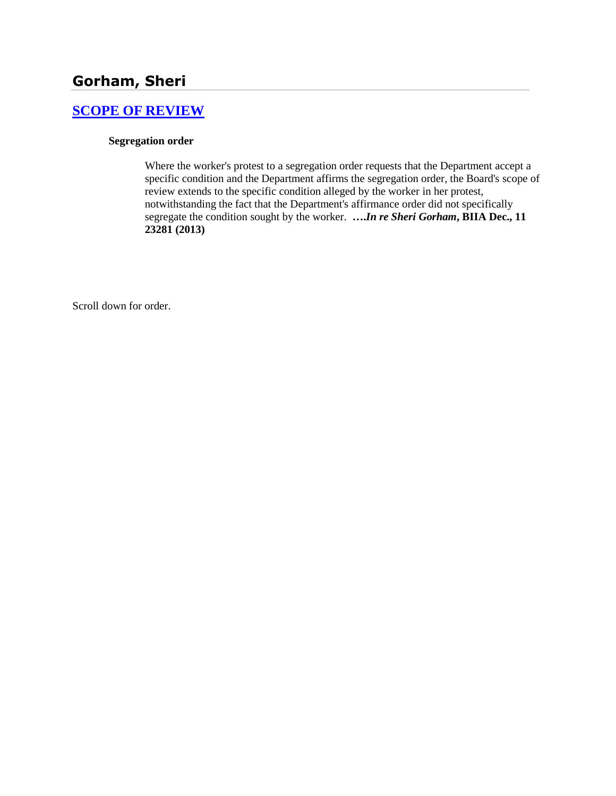# **[SCOPE OF REVIEW](http://www.biia.wa.gov/SDSubjectIndex.html#SCOPE_OF_REVIEW)**

## **Segregation order**

Where the worker's protest to a segregation order requests that the Department accept a specific condition and the Department affirms the segregation order, the Board's scope of review extends to the specific condition alleged by the worker in her protest, notwithstanding the fact that the Department's affirmance order did not specifically segregate the condition sought by the worker. **….***In re Sheri Gorham***, BIIA Dec., 11 23281 (2013)**

Scroll down for order.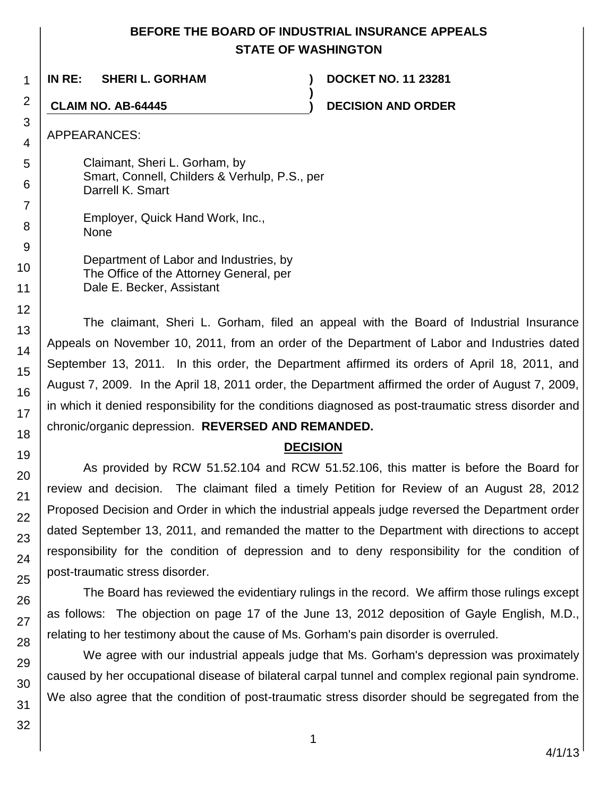# **BEFORE THE BOARD OF INDUSTRIAL INSURANCE APPEALS STATE OF WASHINGTON**

**)**

**IN RE: SHERI L. GORHAM ) DOCKET NO. 11 23281**

**CLAIM NO. AB-64445 ) DECISION AND ORDER**

APPEARANCES:

1

2

3 4

5

6

7

8 9

10

Claimant, Sheri L. Gorham, by Smart, Connell, Childers & Verhulp, P.S., per Darrell K. Smart

Employer, Quick Hand Work, Inc., None

| Department of Labor and Industries, by  |
|-----------------------------------------|
| The Office of the Attorney General, per |
| Dale E. Becker, Assistant               |

The claimant, Sheri L. Gorham, filed an appeal with the Board of Industrial Insurance Appeals on November 10, 2011, from an order of the Department of Labor and Industries dated September 13, 2011. In this order, the Department affirmed its orders of April 18, 2011, and August 7, 2009. In the April 18, 2011 order, the Department affirmed the order of August 7, 2009, in which it denied responsibility for the conditions diagnosed as post-traumatic stress disorder and chronic/organic depression. **REVERSED AND REMANDED.**

## **DECISION**

As provided by RCW 51.52.104 and RCW 51.52.106, this matter is before the Board for review and decision. The claimant filed a timely Petition for Review of an August 28, 2012 Proposed Decision and Order in which the industrial appeals judge reversed the Department order dated September 13, 2011, and remanded the matter to the Department with directions to accept responsibility for the condition of depression and to deny responsibility for the condition of post-traumatic stress disorder.

The Board has reviewed the evidentiary rulings in the record. We affirm those rulings except as follows: The objection on page 17 of the June 13, 2012 deposition of Gayle English, M.D., relating to her testimony about the cause of Ms. Gorham's pain disorder is overruled.

We agree with our industrial appeals judge that Ms. Gorham's depression was proximately caused by her occupational disease of bilateral carpal tunnel and complex regional pain syndrome. We also agree that the condition of post-traumatic stress disorder should be segregated from the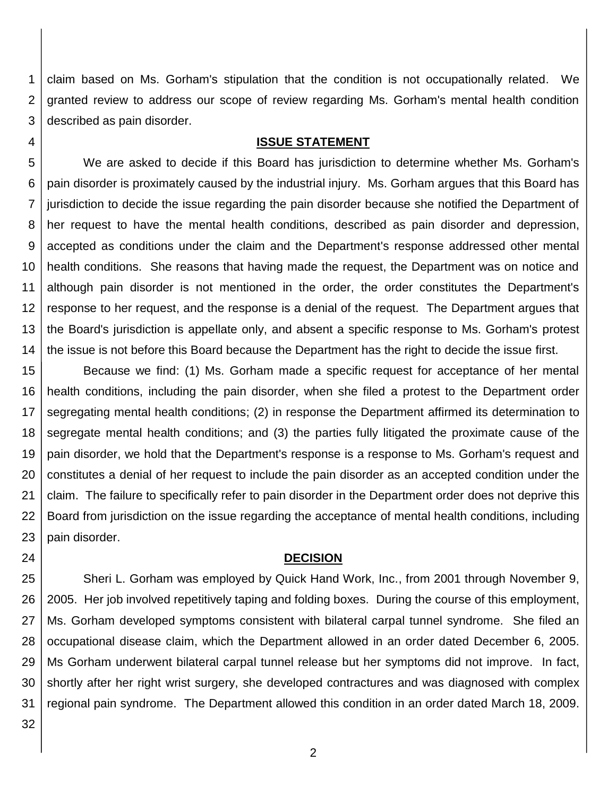1 2 3 claim based on Ms. Gorham's stipulation that the condition is not occupationally related. We granted review to address our scope of review regarding Ms. Gorham's mental health condition described as pain disorder.

## **ISSUE STATEMENT**

5 6 7 8 9 10 11 12 13 14 We are asked to decide if this Board has jurisdiction to determine whether Ms. Gorham's pain disorder is proximately caused by the industrial injury. Ms. Gorham argues that this Board has jurisdiction to decide the issue regarding the pain disorder because she notified the Department of her request to have the mental health conditions, described as pain disorder and depression, accepted as conditions under the claim and the Department's response addressed other mental health conditions. She reasons that having made the request, the Department was on notice and although pain disorder is not mentioned in the order, the order constitutes the Department's response to her request, and the response is a denial of the request. The Department argues that the Board's jurisdiction is appellate only, and absent a specific response to Ms. Gorham's protest the issue is not before this Board because the Department has the right to decide the issue first.

15 16 17 18 19 20 21 22 23 Because we find: (1) Ms. Gorham made a specific request for acceptance of her mental health conditions, including the pain disorder, when she filed a protest to the Department order segregating mental health conditions; (2) in response the Department affirmed its determination to segregate mental health conditions; and (3) the parties fully litigated the proximate cause of the pain disorder, we hold that the Department's response is a response to Ms. Gorham's request and constitutes a denial of her request to include the pain disorder as an accepted condition under the claim. The failure to specifically refer to pain disorder in the Department order does not deprive this Board from jurisdiction on the issue regarding the acceptance of mental health conditions, including pain disorder.

### **DECISION**

25 26 27 28 29 30 31 Sheri L. Gorham was employed by Quick Hand Work, Inc., from 2001 through November 9, 2005. Her job involved repetitively taping and folding boxes. During the course of this employment, Ms. Gorham developed symptoms consistent with bilateral carpal tunnel syndrome. She filed an occupational disease claim, which the Department allowed in an order dated December 6, 2005. Ms Gorham underwent bilateral carpal tunnel release but her symptoms did not improve. In fact, shortly after her right wrist surgery, she developed contractures and was diagnosed with complex regional pain syndrome. The Department allowed this condition in an order dated March 18, 2009.

32

24

4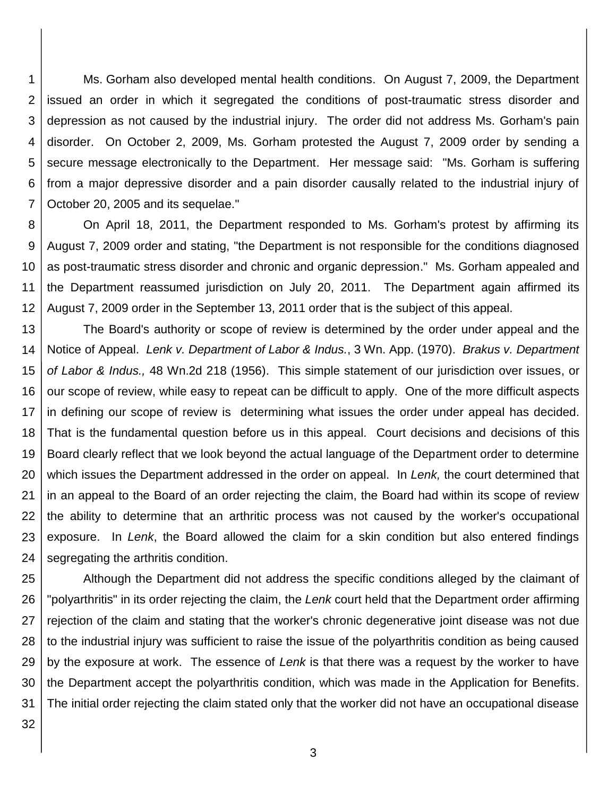1 2 3 4 5 6 7 Ms. Gorham also developed mental health conditions. On August 7, 2009, the Department issued an order in which it segregated the conditions of post-traumatic stress disorder and depression as not caused by the industrial injury. The order did not address Ms. Gorham's pain disorder. On October 2, 2009, Ms. Gorham protested the August 7, 2009 order by sending a secure message electronically to the Department. Her message said: "Ms. Gorham is suffering from a major depressive disorder and a pain disorder causally related to the industrial injury of October 20, 2005 and its sequelae."

8 9 10 11 12 On April 18, 2011, the Department responded to Ms. Gorham's protest by affirming its August 7, 2009 order and stating, "the Department is not responsible for the conditions diagnosed as post-traumatic stress disorder and chronic and organic depression." Ms. Gorham appealed and the Department reassumed jurisdiction on July 20, 2011. The Department again affirmed its August 7, 2009 order in the September 13, 2011 order that is the subject of this appeal.

13 14 15 16 17 18 19 20 21 22 23 24 The Board's authority or scope of review is determined by the order under appeal and the Notice of Appeal. *Lenk v. Department of Labor & Indus.*, 3 Wn. App. (1970). *Brakus v. Department of Labor & Indus.,* 48 Wn.2d 218 (1956). This simple statement of our jurisdiction over issues, or our scope of review, while easy to repeat can be difficult to apply. One of the more difficult aspects in defining our scope of review is determining what issues the order under appeal has decided. That is the fundamental question before us in this appeal. Court decisions and decisions of this Board clearly reflect that we look beyond the actual language of the Department order to determine which issues the Department addressed in the order on appeal. In *Lenk,* the court determined that in an appeal to the Board of an order rejecting the claim, the Board had within its scope of review the ability to determine that an arthritic process was not caused by the worker's occupational exposure. In *Lenk*, the Board allowed the claim for a skin condition but also entered findings segregating the arthritis condition.

25 26 27 28 29 30 31 Although the Department did not address the specific conditions alleged by the claimant of "polyarthritis" in its order rejecting the claim, the *Lenk* court held that the Department order affirming rejection of the claim and stating that the worker's chronic degenerative joint disease was not due to the industrial injury was sufficient to raise the issue of the polyarthritis condition as being caused by the exposure at work. The essence of *Lenk* is that there was a request by the worker to have the Department accept the polyarthritis condition, which was made in the Application for Benefits. The initial order rejecting the claim stated only that the worker did not have an occupational disease

32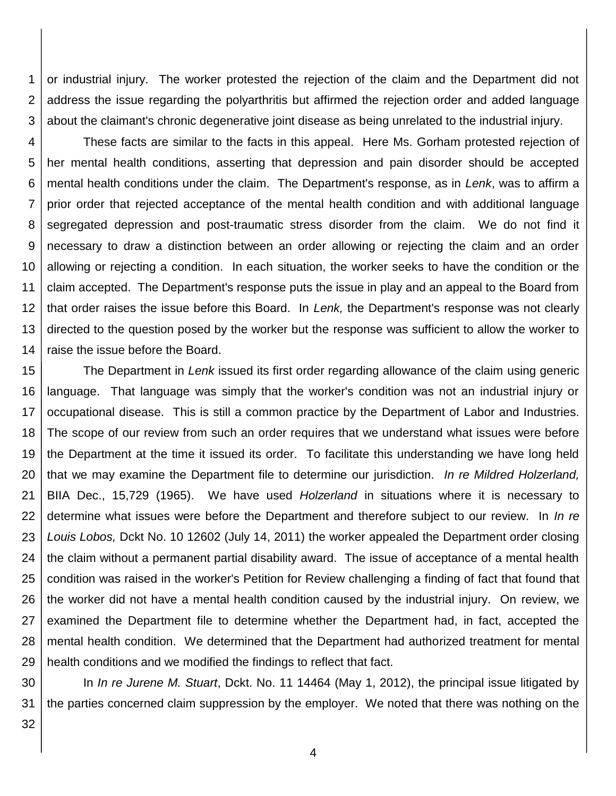1 2 3 or industrial injury. The worker protested the rejection of the claim and the Department did not address the issue regarding the polyarthritis but affirmed the rejection order and added language about the claimant's chronic degenerative joint disease as being unrelated to the industrial injury.

4 5 6 7 8 9 10 11 12 13 14 These facts are similar to the facts in this appeal. Here Ms. Gorham protested rejection of her mental health conditions, asserting that depression and pain disorder should be accepted mental health conditions under the claim. The Department's response, as in *Lenk*, was to affirm a prior order that rejected acceptance of the mental health condition and with additional language segregated depression and post-traumatic stress disorder from the claim. We do not find it necessary to draw a distinction between an order allowing or rejecting the claim and an order allowing or rejecting a condition. In each situation, the worker seeks to have the condition or the claim accepted. The Department's response puts the issue in play and an appeal to the Board from that order raises the issue before this Board. In *Lenk,* the Department's response was not clearly directed to the question posed by the worker but the response was sufficient to allow the worker to raise the issue before the Board.

15 16 17 18 19 20 21 22 23 24 25 26 27 28 29 The Department in *Lenk* issued its first order regarding allowance of the claim using generic language. That language was simply that the worker's condition was not an industrial injury or occupational disease. This is still a common practice by the Department of Labor and Industries. The scope of our review from such an order requires that we understand what issues were before the Department at the time it issued its order. To facilitate this understanding we have long held that we may examine the Department file to determine our jurisdiction. *In re Mildred Holzerland,*  BIIA Dec., 15,729 (1965). We have used *Holzerland* in situations where it is necessary to determine what issues were before the Department and therefore subject to our review. In *In re Louis Lobos,* Dckt No. 10 12602 (July 14, 2011) the worker appealed the Department order closing the claim without a permanent partial disability award. The issue of acceptance of a mental health condition was raised in the worker's Petition for Review challenging a finding of fact that found that the worker did not have a mental health condition caused by the industrial injury. On review, we examined the Department file to determine whether the Department had, in fact, accepted the mental health condition. We determined that the Department had authorized treatment for mental health conditions and we modified the findings to reflect that fact.

30 31 In *In re Jurene M. Stuart*, Dckt. No. 11 14464 (May 1, 2012), the principal issue litigated by the parties concerned claim suppression by the employer. We noted that there was nothing on the

32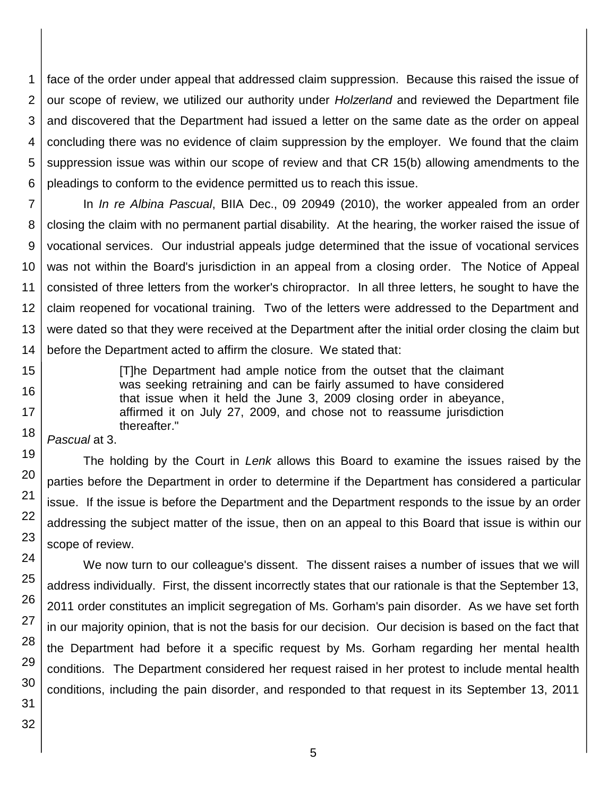1 2 3 4 5 6 face of the order under appeal that addressed claim suppression. Because this raised the issue of our scope of review, we utilized our authority under *Holzerland* and reviewed the Department file and discovered that the Department had issued a letter on the same date as the order on appeal concluding there was no evidence of claim suppression by the employer. We found that the claim suppression issue was within our scope of review and that CR 15(b) allowing amendments to the pleadings to conform to the evidence permitted us to reach this issue.

7 8 9 10 11 12 13 In *In re Albina Pascual*, BIIA Dec., 09 20949 (2010), the worker appealed from an order closing the claim with no permanent partial disability. At the hearing, the worker raised the issue of vocational services. Our industrial appeals judge determined that the issue of vocational services was not within the Board's jurisdiction in an appeal from a closing order. The Notice of Appeal consisted of three letters from the worker's chiropractor. In all three letters, he sought to have the claim reopened for vocational training. Two of the letters were addressed to the Department and were dated so that they were received at the Department after the initial order closing the claim but before the Department acted to affirm the closure. We stated that:

> [T]he Department had ample notice from the outset that the claimant was seeking retraining and can be fairly assumed to have considered that issue when it held the June 3, 2009 closing order in abeyance, affirmed it on July 27, 2009, and chose not to reassume jurisdiction thereafter."

*Pascual* at 3.

The holding by the Court in *Lenk* allows this Board to examine the issues raised by the parties before the Department in order to determine if the Department has considered a particular issue. If the issue is before the Department and the Department responds to the issue by an order addressing the subject matter of the issue, then on an appeal to this Board that issue is within our scope of review.

We now turn to our colleague's dissent. The dissent raises a number of issues that we will address individually. First, the dissent incorrectly states that our rationale is that the September 13, 2011 order constitutes an implicit segregation of Ms. Gorham's pain disorder. As we have set forth in our majority opinion, that is not the basis for our decision. Our decision is based on the fact that the Department had before it a specific request by Ms. Gorham regarding her mental health conditions. The Department considered her request raised in her protest to include mental health conditions, including the pain disorder, and responded to that request in its September 13, 2011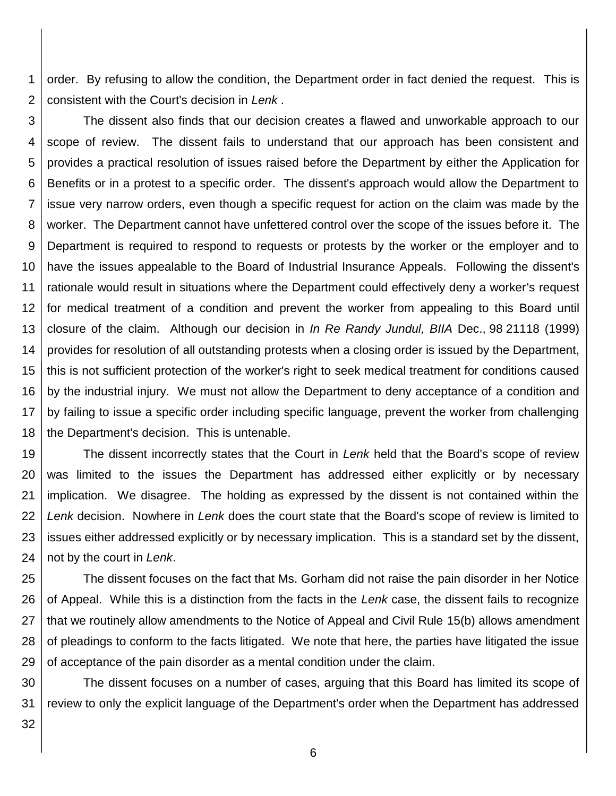1 2 order. By refusing to allow the condition, the Department order in fact denied the request. This is consistent with the Court's decision in *Lenk* .

3 4 5 6 7 8 9 10 11 12 13 14 15 16 17 18 The dissent also finds that our decision creates a flawed and unworkable approach to our scope of review. The dissent fails to understand that our approach has been consistent and provides a practical resolution of issues raised before the Department by either the Application for Benefits or in a protest to a specific order. The dissent's approach would allow the Department to issue very narrow orders, even though a specific request for action on the claim was made by the worker. The Department cannot have unfettered control over the scope of the issues before it. The Department is required to respond to requests or protests by the worker or the employer and to have the issues appealable to the Board of Industrial Insurance Appeals. Following the dissent's rationale would result in situations where the Department could effectively deny a worker's request for medical treatment of a condition and prevent the worker from appealing to this Board until closure of the claim. Although our decision in *In Re Randy Jundul, BIIA* Dec., 98 21118 (1999) provides for resolution of all outstanding protests when a closing order is issued by the Department, this is not sufficient protection of the worker's right to seek medical treatment for conditions caused by the industrial injury. We must not allow the Department to deny acceptance of a condition and by failing to issue a specific order including specific language, prevent the worker from challenging the Department's decision. This is untenable.

19 20 21 22 23 24 The dissent incorrectly states that the Court in *Lenk* held that the Board's scope of review was limited to the issues the Department has addressed either explicitly or by necessary implication. We disagree. The holding as expressed by the dissent is not contained within the *Lenk* decision. Nowhere in *Lenk* does the court state that the Board's scope of review is limited to issues either addressed explicitly or by necessary implication. This is a standard set by the dissent, not by the court in *Lenk*.

25 26 27 28 29 The dissent focuses on the fact that Ms. Gorham did not raise the pain disorder in her Notice of Appeal. While this is a distinction from the facts in the *Lenk* case, the dissent fails to recognize that we routinely allow amendments to the Notice of Appeal and Civil Rule 15(b) allows amendment of pleadings to conform to the facts litigated. We note that here, the parties have litigated the issue of acceptance of the pain disorder as a mental condition under the claim.

30 31 The dissent focuses on a number of cases, arguing that this Board has limited its scope of review to only the explicit language of the Department's order when the Department has addressed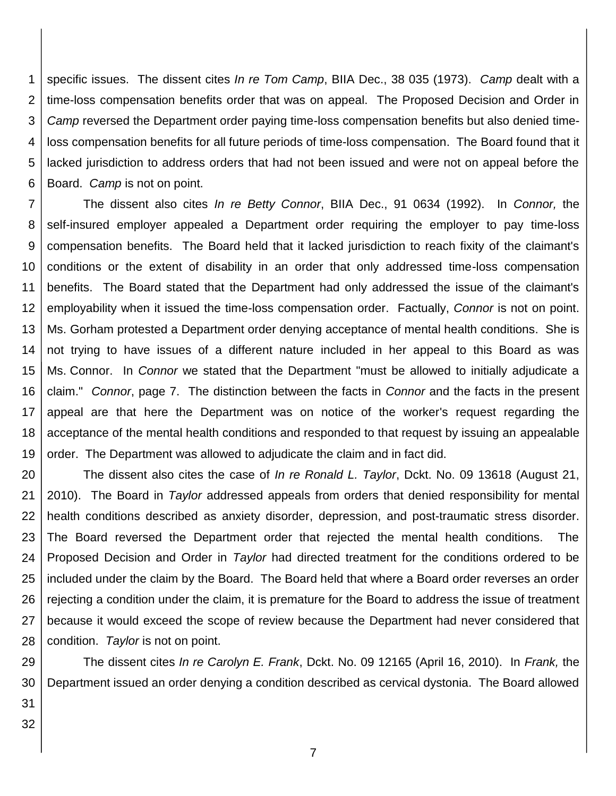1 2 3 4 5 6 specific issues. The dissent cites *In re Tom Camp*, BIIA Dec., 38 035 (1973). *Camp* dealt with a time-loss compensation benefits order that was on appeal. The Proposed Decision and Order in *Camp* reversed the Department order paying time-loss compensation benefits but also denied timeloss compensation benefits for all future periods of time-loss compensation. The Board found that it lacked jurisdiction to address orders that had not been issued and were not on appeal before the Board. *Camp* is not on point.

7 8 9 10 11 12 13 14 15 16 17 18 19 The dissent also cites *In re Betty Connor*, BIIA Dec., 91 0634 (1992). In *Connor,* the self-insured employer appealed a Department order requiring the employer to pay time-loss compensation benefits. The Board held that it lacked jurisdiction to reach fixity of the claimant's conditions or the extent of disability in an order that only addressed time-loss compensation benefits. The Board stated that the Department had only addressed the issue of the claimant's employability when it issued the time-loss compensation order. Factually, *Connor* is not on point. Ms. Gorham protested a Department order denying acceptance of mental health conditions. She is not trying to have issues of a different nature included in her appeal to this Board as was Ms. Connor. In *Connor* we stated that the Department "must be allowed to initially adjudicate a claim." *Connor*, page 7. The distinction between the facts in *Connor* and the facts in the present appeal are that here the Department was on notice of the worker's request regarding the acceptance of the mental health conditions and responded to that request by issuing an appealable order. The Department was allowed to adjudicate the claim and in fact did.

20 21 22 23 24 25 26 27 28 The dissent also cites the case of *In re Ronald L. Taylor*, Dckt. No. 09 13618 (August 21, 2010). The Board in *Taylor* addressed appeals from orders that denied responsibility for mental health conditions described as anxiety disorder, depression, and post-traumatic stress disorder. The Board reversed the Department order that rejected the mental health conditions. The Proposed Decision and Order in *Taylor* had directed treatment for the conditions ordered to be included under the claim by the Board. The Board held that where a Board order reverses an order rejecting a condition under the claim, it is premature for the Board to address the issue of treatment because it would exceed the scope of review because the Department had never considered that condition. *Taylor* is not on point.

29 30 The dissent cites *In re Carolyn E. Frank*, Dckt. No. 09 12165 (April 16, 2010). In *Frank,* the Department issued an order denying a condition described as cervical dystonia. The Board allowed

31 32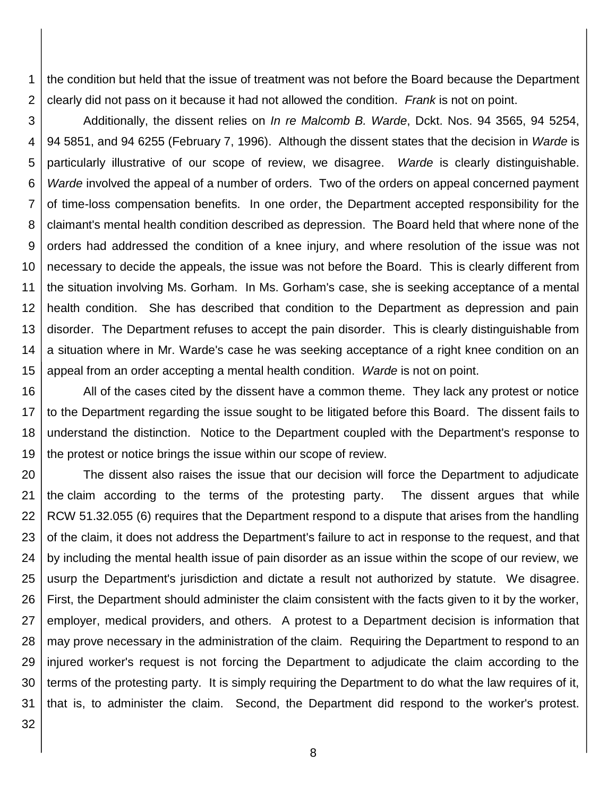1 2 the condition but held that the issue of treatment was not before the Board because the Department clearly did not pass on it because it had not allowed the condition. *Frank* is not on point.

3 4 5 6 7 8 9 10 11 12 13 14 15 Additionally, the dissent relies on *In re Malcomb B. Warde*, Dckt. Nos. 94 3565, 94 5254, 94 5851, and 94 6255 (February 7, 1996). Although the dissent states that the decision in *Warde* is particularly illustrative of our scope of review, we disagree. *Warde* is clearly distinguishable. *Warde* involved the appeal of a number of orders. Two of the orders on appeal concerned payment of time-loss compensation benefits. In one order, the Department accepted responsibility for the claimant's mental health condition described as depression. The Board held that where none of the orders had addressed the condition of a knee injury, and where resolution of the issue was not necessary to decide the appeals, the issue was not before the Board. This is clearly different from the situation involving Ms. Gorham. In Ms. Gorham's case, she is seeking acceptance of a mental health condition. She has described that condition to the Department as depression and pain disorder. The Department refuses to accept the pain disorder. This is clearly distinguishable from a situation where in Mr. Warde's case he was seeking acceptance of a right knee condition on an appeal from an order accepting a mental health condition. *Warde* is not on point.

16 17 18 19 All of the cases cited by the dissent have a common theme. They lack any protest or notice to the Department regarding the issue sought to be litigated before this Board. The dissent fails to understand the distinction. Notice to the Department coupled with the Department's response to the protest or notice brings the issue within our scope of review.

20 21 22 23 24 25 26 27 28 29 30 31 The dissent also raises the issue that our decision will force the Department to adjudicate the claim according to the terms of the protesting party. The dissent argues that while RCW 51.32.055 (6) requires that the Department respond to a dispute that arises from the handling of the claim, it does not address the Department's failure to act in response to the request, and that by including the mental health issue of pain disorder as an issue within the scope of our review, we usurp the Department's jurisdiction and dictate a result not authorized by statute. We disagree. First, the Department should administer the claim consistent with the facts given to it by the worker, employer, medical providers, and others. A protest to a Department decision is information that may prove necessary in the administration of the claim. Requiring the Department to respond to an injured worker's request is not forcing the Department to adjudicate the claim according to the terms of the protesting party. It is simply requiring the Department to do what the law requires of it, that is, to administer the claim. Second, the Department did respond to the worker's protest.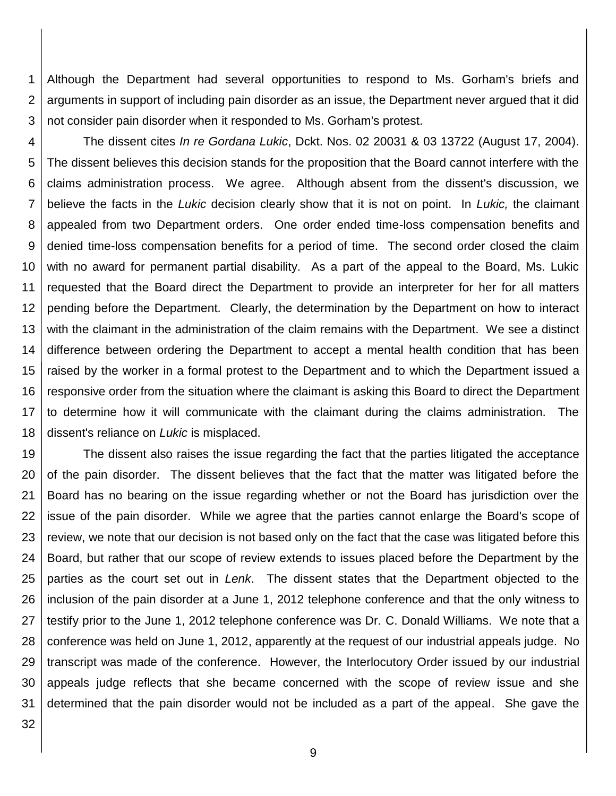1 2 3 Although the Department had several opportunities to respond to Ms. Gorham's briefs and arguments in support of including pain disorder as an issue, the Department never argued that it did not consider pain disorder when it responded to Ms. Gorham's protest.

4 5 6 7 8 9 10 11 12 13 14 15 16 17 18 The dissent cites *In re Gordana Lukic*, Dckt. Nos. 02 20031 & 03 13722 (August 17, 2004). The dissent believes this decision stands for the proposition that the Board cannot interfere with the claims administration process. We agree. Although absent from the dissent's discussion, we believe the facts in the *Lukic* decision clearly show that it is not on point. In *Lukic,* the claimant appealed from two Department orders. One order ended time-loss compensation benefits and denied time-loss compensation benefits for a period of time. The second order closed the claim with no award for permanent partial disability. As a part of the appeal to the Board, Ms. Lukic requested that the Board direct the Department to provide an interpreter for her for all matters pending before the Department. Clearly, the determination by the Department on how to interact with the claimant in the administration of the claim remains with the Department. We see a distinct difference between ordering the Department to accept a mental health condition that has been raised by the worker in a formal protest to the Department and to which the Department issued a responsive order from the situation where the claimant is asking this Board to direct the Department to determine how it will communicate with the claimant during the claims administration. The dissent's reliance on *Lukic* is misplaced.

19 20 21 22 23 24 25 26 27 28 29 30 31 The dissent also raises the issue regarding the fact that the parties litigated the acceptance of the pain disorder. The dissent believes that the fact that the matter was litigated before the Board has no bearing on the issue regarding whether or not the Board has jurisdiction over the issue of the pain disorder. While we agree that the parties cannot enlarge the Board's scope of review, we note that our decision is not based only on the fact that the case was litigated before this Board, but rather that our scope of review extends to issues placed before the Department by the parties as the court set out in *Lenk*. The dissent states that the Department objected to the inclusion of the pain disorder at a June 1, 2012 telephone conference and that the only witness to testify prior to the June 1, 2012 telephone conference was Dr. C. Donald Williams. We note that a conference was held on June 1, 2012, apparently at the request of our industrial appeals judge. No transcript was made of the conference. However, the Interlocutory Order issued by our industrial appeals judge reflects that she became concerned with the scope of review issue and she determined that the pain disorder would not be included as a part of the appeal. She gave the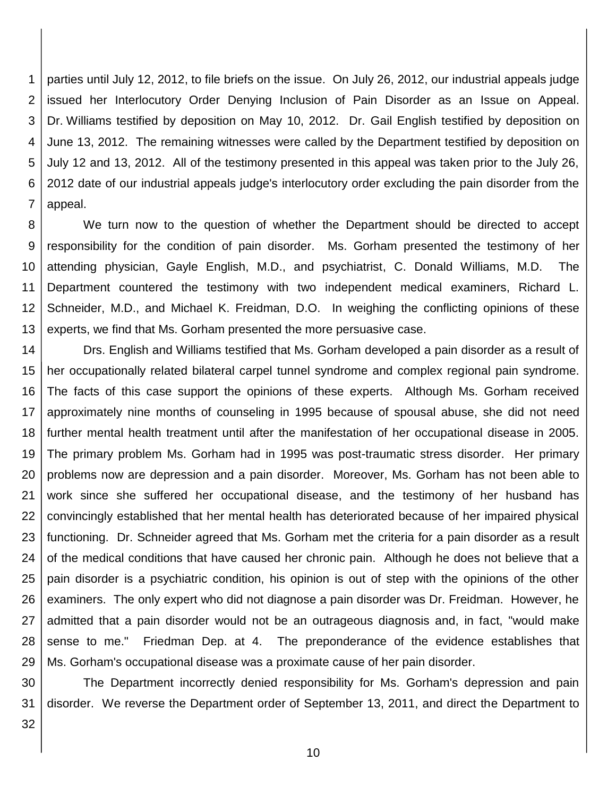1 2 3 4 5 6 7 parties until July 12, 2012, to file briefs on the issue. On July 26, 2012, our industrial appeals judge issued her Interlocutory Order Denying Inclusion of Pain Disorder as an Issue on Appeal. Dr. Williams testified by deposition on May 10, 2012. Dr. Gail English testified by deposition on June 13, 2012. The remaining witnesses were called by the Department testified by deposition on July 12 and 13, 2012. All of the testimony presented in this appeal was taken prior to the July 26, 2012 date of our industrial appeals judge's interlocutory order excluding the pain disorder from the appeal.

8 9 10 11 12 13 We turn now to the question of whether the Department should be directed to accept responsibility for the condition of pain disorder. Ms. Gorham presented the testimony of her attending physician, Gayle English, M.D., and psychiatrist, C. Donald Williams, M.D. The Department countered the testimony with two independent medical examiners, Richard L. Schneider, M.D., and Michael K. Freidman, D.O. In weighing the conflicting opinions of these experts, we find that Ms. Gorham presented the more persuasive case.

14 15 16 17 18 19 20 21 22 23 24 25 26 27 28 29 Drs. English and Williams testified that Ms. Gorham developed a pain disorder as a result of her occupationally related bilateral carpel tunnel syndrome and complex regional pain syndrome. The facts of this case support the opinions of these experts. Although Ms. Gorham received approximately nine months of counseling in 1995 because of spousal abuse, she did not need further mental health treatment until after the manifestation of her occupational disease in 2005. The primary problem Ms. Gorham had in 1995 was post-traumatic stress disorder. Her primary problems now are depression and a pain disorder. Moreover, Ms. Gorham has not been able to work since she suffered her occupational disease, and the testimony of her husband has convincingly established that her mental health has deteriorated because of her impaired physical functioning. Dr. Schneider agreed that Ms. Gorham met the criteria for a pain disorder as a result of the medical conditions that have caused her chronic pain. Although he does not believe that a pain disorder is a psychiatric condition, his opinion is out of step with the opinions of the other examiners. The only expert who did not diagnose a pain disorder was Dr. Freidman. However, he admitted that a pain disorder would not be an outrageous diagnosis and, in fact, "would make sense to me." Friedman Dep. at 4. The preponderance of the evidence establishes that Ms. Gorham's occupational disease was a proximate cause of her pain disorder.

30 31 The Department incorrectly denied responsibility for Ms. Gorham's depression and pain disorder. We reverse the Department order of September 13, 2011, and direct the Department to

32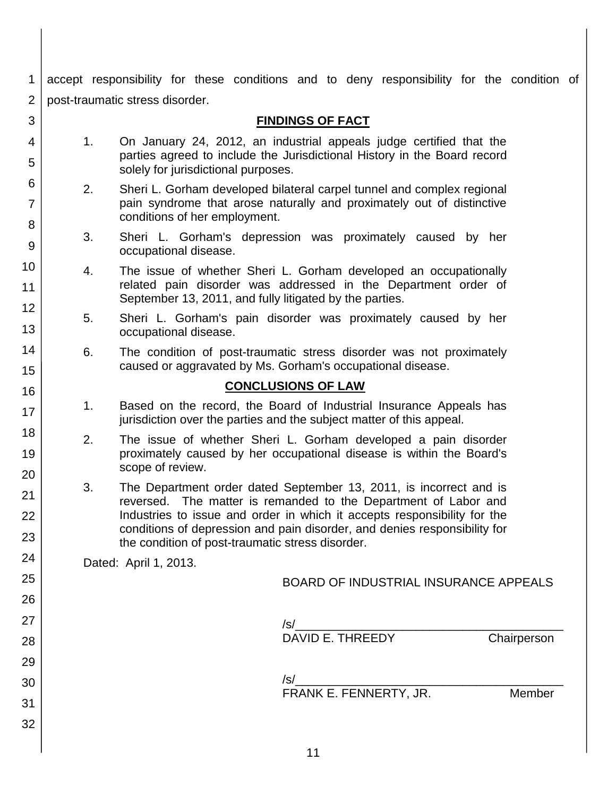1 2 accept responsibility for these conditions and to deny responsibility for the condition of post-traumatic stress disorder.

| 3                        |    |                                                                                                                                                                                                                                                                                                                                                       | <b>FINDINGS OF FACT</b>                                                                                                                         |             |  |
|--------------------------|----|-------------------------------------------------------------------------------------------------------------------------------------------------------------------------------------------------------------------------------------------------------------------------------------------------------------------------------------------------------|-------------------------------------------------------------------------------------------------------------------------------------------------|-------------|--|
| 4<br>5                   | 1. | solely for jurisdictional purposes.                                                                                                                                                                                                                                                                                                                   | On January 24, 2012, an industrial appeals judge certified that the<br>parties agreed to include the Jurisdictional History in the Board record |             |  |
| 6<br>$\overline{7}$<br>8 | 2. | conditions of her employment.                                                                                                                                                                                                                                                                                                                         | Sheri L. Gorham developed bilateral carpel tunnel and complex regional<br>pain syndrome that arose naturally and proximately out of distinctive |             |  |
| $\overline{9}$           | 3. | occupational disease.                                                                                                                                                                                                                                                                                                                                 | Sheri L. Gorham's depression was proximately caused by her                                                                                      |             |  |
| 10<br>11                 | 4. | September 13, 2011, and fully litigated by the parties.                                                                                                                                                                                                                                                                                               | The issue of whether Sheri L. Gorham developed an occupationally<br>related pain disorder was addressed in the Department order of              |             |  |
| 12<br>13                 | 5. | occupational disease.                                                                                                                                                                                                                                                                                                                                 | Sheri L. Gorham's pain disorder was proximately caused by her                                                                                   |             |  |
| 14<br>15                 | 6. |                                                                                                                                                                                                                                                                                                                                                       | The condition of post-traumatic stress disorder was not proximately<br>caused or aggravated by Ms. Gorham's occupational disease.               |             |  |
| 16                       |    |                                                                                                                                                                                                                                                                                                                                                       | <b>CONCLUSIONS OF LAW</b>                                                                                                                       |             |  |
| 17                       | 1. |                                                                                                                                                                                                                                                                                                                                                       | Based on the record, the Board of Industrial Insurance Appeals has<br>jurisdiction over the parties and the subject matter of this appeal.      |             |  |
| 18<br>19<br>20           | 2. | scope of review.                                                                                                                                                                                                                                                                                                                                      | The issue of whether Sheri L. Gorham developed a pain disorder<br>proximately caused by her occupational disease is within the Board's          |             |  |
| 21<br>22<br>23           | 3. | The Department order dated September 13, 2011, is incorrect and is<br>The matter is remanded to the Department of Labor and<br>reversed.<br>Industries to issue and order in which it accepts responsibility for the<br>conditions of depression and pain disorder, and denies responsibility for<br>the condition of post-traumatic stress disorder. |                                                                                                                                                 |             |  |
| 24                       |    | Dated: April 1, 2013.                                                                                                                                                                                                                                                                                                                                 |                                                                                                                                                 |             |  |
| 25                       |    |                                                                                                                                                                                                                                                                                                                                                       | BOARD OF INDUSTRIAL INSURANCE APPEALS                                                                                                           |             |  |
| 26                       |    |                                                                                                                                                                                                                                                                                                                                                       |                                                                                                                                                 |             |  |
| 27                       |    |                                                                                                                                                                                                                                                                                                                                                       |                                                                                                                                                 |             |  |
| 28                       |    |                                                                                                                                                                                                                                                                                                                                                       |                                                                                                                                                 | Chairperson |  |
| 29                       |    |                                                                                                                                                                                                                                                                                                                                                       |                                                                                                                                                 |             |  |
| 30                       |    |                                                                                                                                                                                                                                                                                                                                                       | FRANK E. FENNERTY, JR.                                                                                                                          |             |  |
| 31                       |    |                                                                                                                                                                                                                                                                                                                                                       |                                                                                                                                                 | Member      |  |
| 32                       |    |                                                                                                                                                                                                                                                                                                                                                       |                                                                                                                                                 |             |  |
|                          |    |                                                                                                                                                                                                                                                                                                                                                       |                                                                                                                                                 |             |  |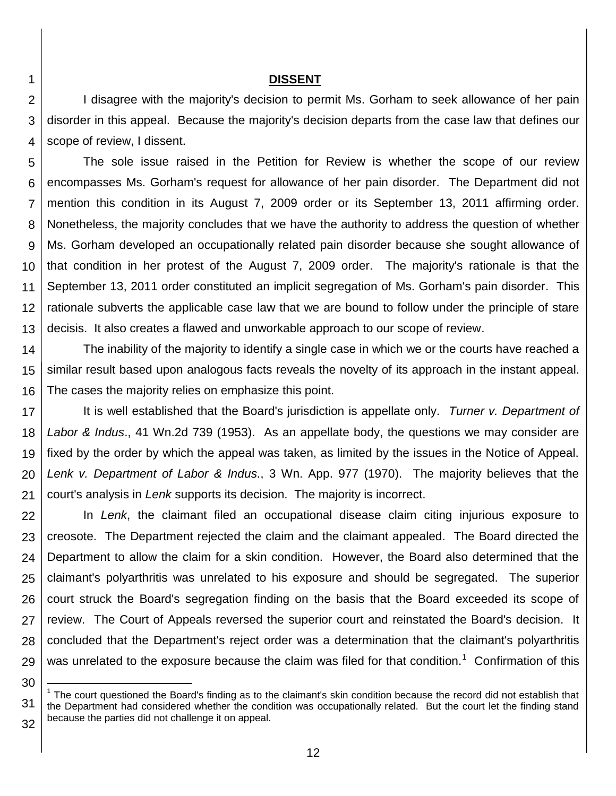## **DISSENT**

2 3 4 I disagree with the majority's decision to permit Ms. Gorham to seek allowance of her pain disorder in this appeal. Because the majority's decision departs from the case law that defines our scope of review, I dissent.

5 6 7 8 9 10 11 12 13 The sole issue raised in the Petition for Review is whether the scope of our review encompasses Ms. Gorham's request for allowance of her pain disorder. The Department did not mention this condition in its August 7, 2009 order or its September 13, 2011 affirming order. Nonetheless, the majority concludes that we have the authority to address the question of whether Ms. Gorham developed an occupationally related pain disorder because she sought allowance of that condition in her protest of the August 7, 2009 order. The majority's rationale is that the September 13, 2011 order constituted an implicit segregation of Ms. Gorham's pain disorder. This rationale subverts the applicable case law that we are bound to follow under the principle of stare decisis. It also creates a flawed and unworkable approach to our scope of review.

14 15 16 The inability of the majority to identify a single case in which we or the courts have reached a similar result based upon analogous facts reveals the novelty of its approach in the instant appeal. The cases the majority relies on emphasize this point.

17 18 19 20 21 It is well established that the Board's jurisdiction is appellate only. *Turner v. Department of Labor & Indus*., 41 Wn.2d 739 (1953). As an appellate body, the questions we may consider are fixed by the order by which the appeal was taken, as limited by the issues in the Notice of Appeal. *Lenk v. Department of Labor & Indus*., 3 Wn. App. 977 (1970). The majority believes that the court's analysis in *Lenk* supports its decision. The majority is incorrect.

22 23 24 25 26 27 28 29 In *Lenk*, the claimant filed an occupational disease claim citing injurious exposure to creosote. The Department rejected the claim and the claimant appealed. The Board directed the Department to allow the claim for a skin condition. However, the Board also determined that the claimant's polyarthritis was unrelated to his exposure and should be segregated. The superior court struck the Board's segregation finding on the basis that the Board exceeded its scope of review. The Court of Appeals reversed the superior court and reinstated the Board's decision. It concluded that the Department's reject order was a determination that the claimant's polyarthritis was unrelated to the exposure because the claim was filed for that condition.<sup>1</sup> Confirmation of this

l

<sup>30</sup>

<sup>31</sup> 32  $1$  The court questioned the Board's finding as to the claimant's skin condition because the record did not establish that the Department had considered whether the condition was occupationally related. But the court let the finding stand because the parties did not challenge it on appeal.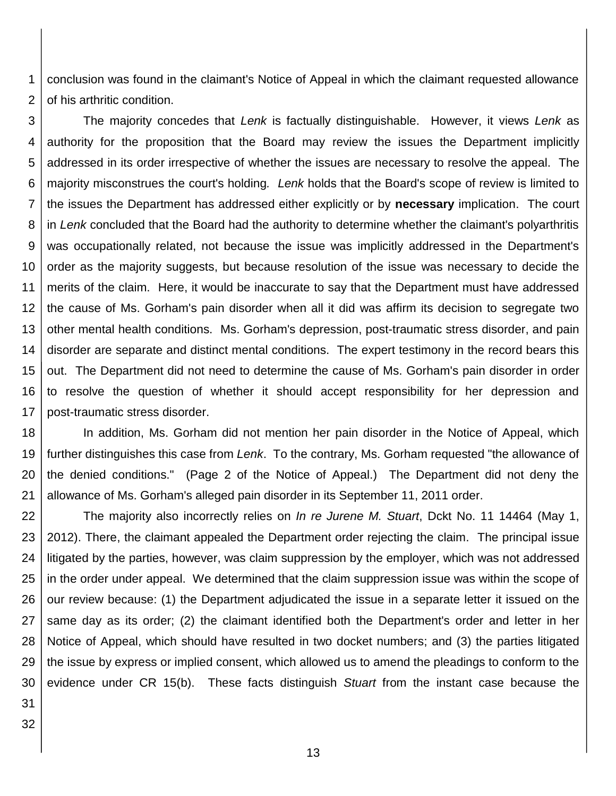1 2 conclusion was found in the claimant's Notice of Appeal in which the claimant requested allowance of his arthritic condition.

3 4 5 6 7 8 9 10 11 12 13 14 15 16 17 The majority concedes that *Lenk* is factually distinguishable. However, it views *Lenk* as authority for the proposition that the Board may review the issues the Department implicitly addressed in its order irrespective of whether the issues are necessary to resolve the appeal. The majority misconstrues the court's holding*. Lenk* holds that the Board's scope of review is limited to the issues the Department has addressed either explicitly or by **necessary** implication. The court in *Lenk* concluded that the Board had the authority to determine whether the claimant's polyarthritis was occupationally related, not because the issue was implicitly addressed in the Department's order as the majority suggests, but because resolution of the issue was necessary to decide the merits of the claim. Here, it would be inaccurate to say that the Department must have addressed the cause of Ms. Gorham's pain disorder when all it did was affirm its decision to segregate two other mental health conditions. Ms. Gorham's depression, post-traumatic stress disorder, and pain disorder are separate and distinct mental conditions. The expert testimony in the record bears this out. The Department did not need to determine the cause of Ms. Gorham's pain disorder in order to resolve the question of whether it should accept responsibility for her depression and post-traumatic stress disorder.

18 19 20 21 In addition, Ms. Gorham did not mention her pain disorder in the Notice of Appeal, which further distinguishes this case from *Lenk*. To the contrary, Ms. Gorham requested "the allowance of the denied conditions." (Page 2 of the Notice of Appeal.) The Department did not deny the allowance of Ms. Gorham's alleged pain disorder in its September 11, 2011 order.

22 23 24 25 26 27 28 29 30 The majority also incorrectly relies on *In re Jurene M. Stuart*, Dckt No. 11 14464 (May 1, 2012). There, the claimant appealed the Department order rejecting the claim. The principal issue litigated by the parties, however, was claim suppression by the employer, which was not addressed in the order under appeal. We determined that the claim suppression issue was within the scope of our review because: (1) the Department adjudicated the issue in a separate letter it issued on the same day as its order; (2) the claimant identified both the Department's order and letter in her Notice of Appeal, which should have resulted in two docket numbers; and (3) the parties litigated the issue by express or implied consent, which allowed us to amend the pleadings to conform to the evidence under CR 15(b). These facts distinguish *Stuart* from the instant case because the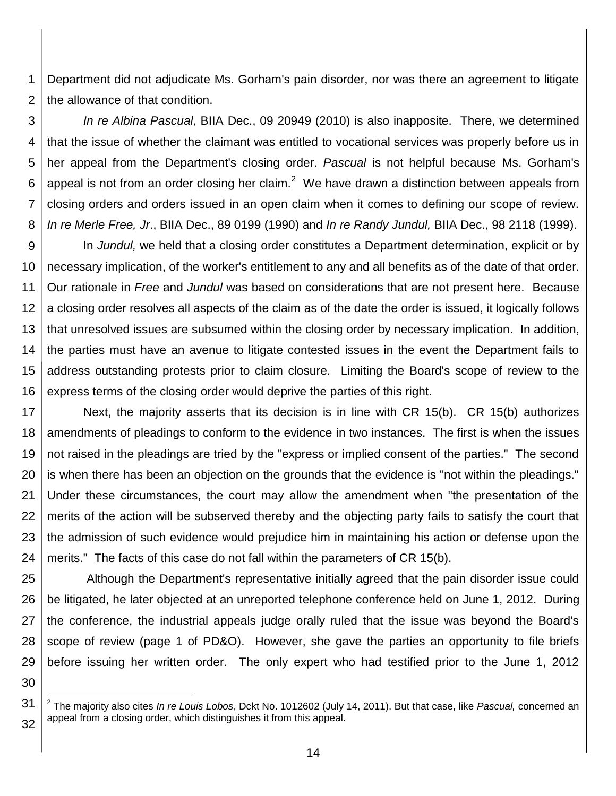1 2 Department did not adjudicate Ms. Gorham's pain disorder, nor was there an agreement to litigate the allowance of that condition.

3 4 5 6 7 8 *In re Albina Pascual*, BIIA Dec., 09 20949 (2010) is also inapposite. There, we determined that the issue of whether the claimant was entitled to vocational services was properly before us in her appeal from the Department's closing order. *Pascual* is not helpful because Ms. Gorham's appeal is not from an order closing her claim.<sup>2</sup> We have drawn a distinction between appeals from closing orders and orders issued in an open claim when it comes to defining our scope of review. *In re Merle Free, Jr*., BIIA Dec., 89 0199 (1990) and *In re Randy Jundul,* BIIA Dec., 98 2118 (1999).

9 10 11 12 13 14 15 16 In *Jundul,* we held that a closing order constitutes a Department determination, explicit or by necessary implication, of the worker's entitlement to any and all benefits as of the date of that order. Our rationale in *Free* and *Jundul* was based on considerations that are not present here. Because a closing order resolves all aspects of the claim as of the date the order is issued, it logically follows that unresolved issues are subsumed within the closing order by necessary implication. In addition, the parties must have an avenue to litigate contested issues in the event the Department fails to address outstanding protests prior to claim closure. Limiting the Board's scope of review to the express terms of the closing order would deprive the parties of this right.

17 18 19 20 21 22 23 24 Next, the majority asserts that its decision is in line with CR 15(b). CR 15(b) authorizes amendments of pleadings to conform to the evidence in two instances. The first is when the issues not raised in the pleadings are tried by the "express or implied consent of the parties." The second is when there has been an objection on the grounds that the evidence is "not within the pleadings." Under these circumstances, the court may allow the amendment when "the presentation of the merits of the action will be subserved thereby and the objecting party fails to satisfy the court that the admission of such evidence would prejudice him in maintaining his action or defense upon the merits." The facts of this case do not fall within the parameters of CR 15(b).

25 26 27 28 29 Although the Department's representative initially agreed that the pain disorder issue could be litigated, he later objected at an unreported telephone conference held on June 1, 2012. During the conference, the industrial appeals judge orally ruled that the issue was beyond the Board's scope of review (page 1 of PD&O). However, she gave the parties an opportunity to file briefs before issuing her written order. The only expert who had testified prior to the June 1, 2012

30

l

<sup>31</sup> 32 2 The majority also cites *In re Louis Lobos*, Dckt No. 1012602 (July 14, 2011). But that case, like *Pascual,* concerned an appeal from a closing order, which distinguishes it from this appeal.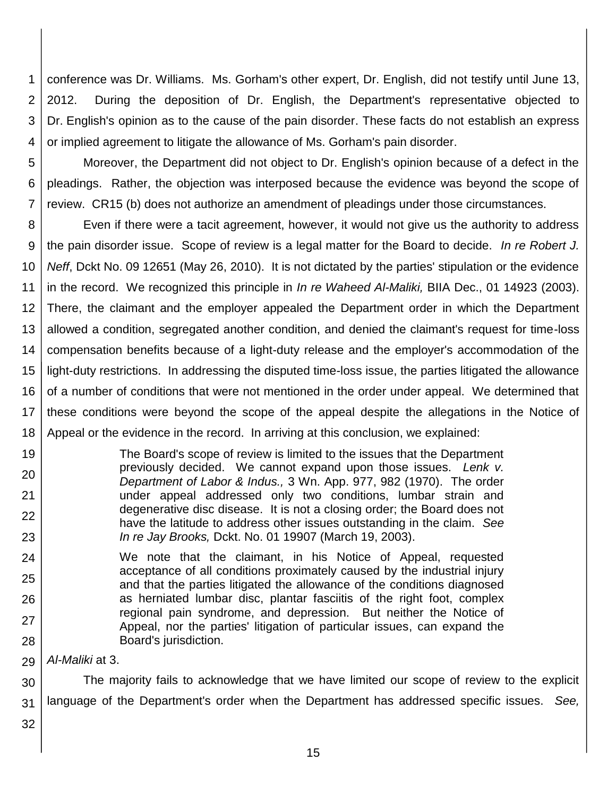1 2 3 4 conference was Dr. Williams. Ms. Gorham's other expert, Dr. English, did not testify until June 13, 2012. During the deposition of Dr. English, the Department's representative objected to Dr. English's opinion as to the cause of the pain disorder. These facts do not establish an express or implied agreement to litigate the allowance of Ms. Gorham's pain disorder.

5 6 7 Moreover, the Department did not object to Dr. English's opinion because of a defect in the pleadings. Rather, the objection was interposed because the evidence was beyond the scope of review. CR15 (b) does not authorize an amendment of pleadings under those circumstances.

8 9 10 11 12 13 14 15 16 17 18 Even if there were a tacit agreement, however, it would not give us the authority to address the pain disorder issue. Scope of review is a legal matter for the Board to decide. *In re Robert J. Neff*, Dckt No. 09 12651 (May 26, 2010). It is not dictated by the parties' stipulation or the evidence in the record. We recognized this principle in *In re Waheed Al-Maliki,* BIIA Dec., 01 14923 (2003). There, the claimant and the employer appealed the Department order in which the Department allowed a condition, segregated another condition, and denied the claimant's request for time-loss compensation benefits because of a light-duty release and the employer's accommodation of the light-duty restrictions. In addressing the disputed time-loss issue, the parties litigated the allowance of a number of conditions that were not mentioned in the order under appeal. We determined that these conditions were beyond the scope of the appeal despite the allegations in the Notice of Appeal or the evidence in the record. In arriving at this conclusion, we explained:

- The Board's scope of review is limited to the issues that the Department previously decided. We cannot expand upon those issues. *Lenk v. Department of Labor & Indus.,* 3 Wn. App. 977, 982 (1970). The order under appeal addressed only two conditions, lumbar strain and degenerative disc disease. It is not a closing order; the Board does not have the latitude to address other issues outstanding in the claim. *See In re Jay Brooks,* Dckt. No. 01 19907 (March 19, 2003).
- 24 25 26 27 28 We note that the claimant, in his Notice of Appeal, requested acceptance of all conditions proximately caused by the industrial injury and that the parties litigated the allowance of the conditions diagnosed as herniated lumbar disc, plantar fasciitis of the right foot, complex regional pain syndrome, and depression. But neither the Notice of Appeal, nor the parties' litigation of particular issues, can expand the Board's jurisdiction.

29 *Al-Maliki* at 3.

30 31 The majority fails to acknowledge that we have limited our scope of review to the explicit language of the Department's order when the Department has addressed specific issues. *See,*

32

19

20

21

22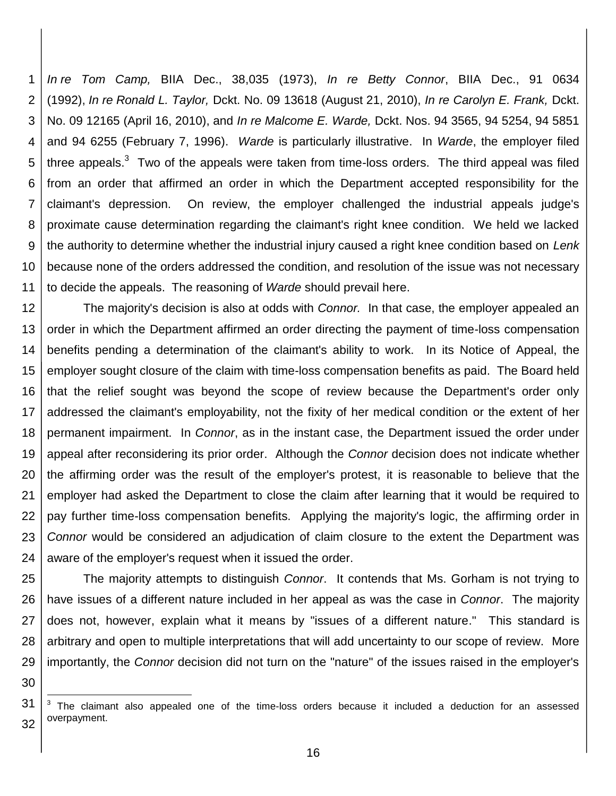1 2 3 4 5 6 7 8 9 10 11 *In re Tom Camp,* BIIA Dec., 38,035 (1973), *In re Betty Connor*, BIIA Dec., 91 0634 (1992), *In re Ronald L. Taylor,* Dckt. No. 09 13618 (August 21, 2010), *In re Carolyn E. Frank,* Dckt. No. 09 12165 (April 16, 2010), and *In re Malcome E. Warde,* Dckt. Nos. 94 3565, 94 5254, 94 5851 and 94 6255 (February 7, 1996). *Warde* is particularly illustrative. In *Warde*, the employer filed three appeals.<sup>3</sup> Two of the appeals were taken from time-loss orders. The third appeal was filed from an order that affirmed an order in which the Department accepted responsibility for the claimant's depression. On review, the employer challenged the industrial appeals judge's proximate cause determination regarding the claimant's right knee condition. We held we lacked the authority to determine whether the industrial injury caused a right knee condition based on *Lenk* because none of the orders addressed the condition, and resolution of the issue was not necessary to decide the appeals. The reasoning of *Warde* should prevail here.

12 13 14 15 16 17 18 19 20 21 22 23 24 The majority's decision is also at odds with *Connor.* In that case, the employer appealed an order in which the Department affirmed an order directing the payment of time-loss compensation benefits pending a determination of the claimant's ability to work. In its Notice of Appeal, the employer sought closure of the claim with time-loss compensation benefits as paid. The Board held that the relief sought was beyond the scope of review because the Department's order only addressed the claimant's employability, not the fixity of her medical condition or the extent of her permanent impairment. In *Connor*, as in the instant case, the Department issued the order under appeal after reconsidering its prior order. Although the *Connor* decision does not indicate whether the affirming order was the result of the employer's protest, it is reasonable to believe that the employer had asked the Department to close the claim after learning that it would be required to pay further time-loss compensation benefits. Applying the majority's logic, the affirming order in *Connor* would be considered an adjudication of claim closure to the extent the Department was aware of the employer's request when it issued the order.

25 26 27 28 29 The majority attempts to distinguish *Connor*. It contends that Ms. Gorham is not trying to have issues of a different nature included in her appeal as was the case in *Connor*. The majority does not, however, explain what it means by "issues of a different nature." This standard is arbitrary and open to multiple interpretations that will add uncertainty to our scope of review. More importantly, the *Connor* decision did not turn on the "nature" of the issues raised in the employer's

30

l

<sup>31</sup> 32  $3$  The claimant also appealed one of the time-loss orders because it included a deduction for an assessed overpayment.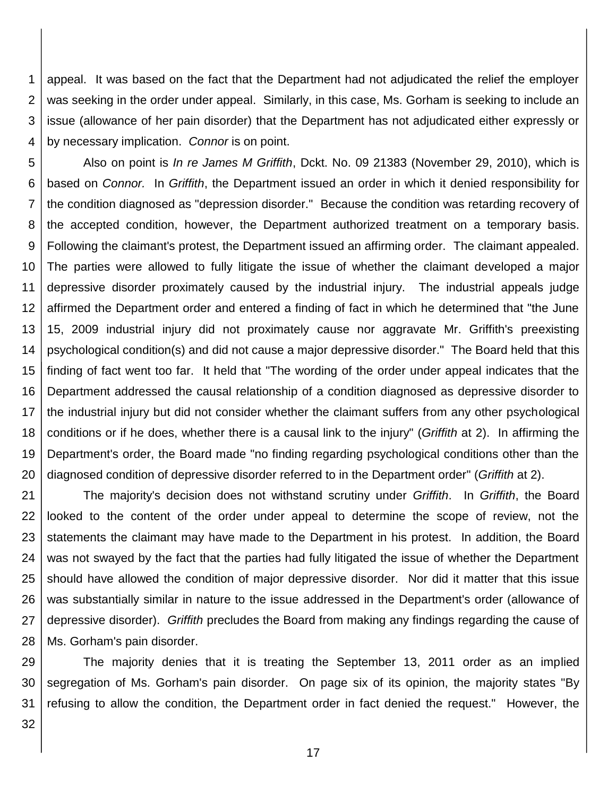1 2 3 4 appeal. It was based on the fact that the Department had not adjudicated the relief the employer was seeking in the order under appeal. Similarly, in this case, Ms. Gorham is seeking to include an issue (allowance of her pain disorder) that the Department has not adjudicated either expressly or by necessary implication. *Connor* is on point.

5 6 7 8 9 10 11 12 13 14 15 16 17 18 19 20 Also on point is *In re James M Griffith*, Dckt. No. 09 21383 (November 29, 2010), which is based on *Connor.* In *Griffith*, the Department issued an order in which it denied responsibility for the condition diagnosed as "depression disorder." Because the condition was retarding recovery of the accepted condition, however, the Department authorized treatment on a temporary basis. Following the claimant's protest, the Department issued an affirming order. The claimant appealed. The parties were allowed to fully litigate the issue of whether the claimant developed a major depressive disorder proximately caused by the industrial injury. The industrial appeals judge affirmed the Department order and entered a finding of fact in which he determined that "the June 15, 2009 industrial injury did not proximately cause nor aggravate Mr. Griffith's preexisting psychological condition(s) and did not cause a major depressive disorder." The Board held that this finding of fact went too far. It held that "The wording of the order under appeal indicates that the Department addressed the causal relationship of a condition diagnosed as depressive disorder to the industrial injury but did not consider whether the claimant suffers from any other psychological conditions or if he does, whether there is a causal link to the injury" (*Griffith* at 2). In affirming the Department's order, the Board made "no finding regarding psychological conditions other than the diagnosed condition of depressive disorder referred to in the Department order" (*Griffith* at 2).

21 22 23 24 25 26 27 28 The majority's decision does not withstand scrutiny under *Griffith*. In *Griffith*, the Board looked to the content of the order under appeal to determine the scope of review, not the statements the claimant may have made to the Department in his protest. In addition, the Board was not swayed by the fact that the parties had fully litigated the issue of whether the Department should have allowed the condition of major depressive disorder. Nor did it matter that this issue was substantially similar in nature to the issue addressed in the Department's order (allowance of depressive disorder). *Griffith* precludes the Board from making any findings regarding the cause of Ms. Gorham's pain disorder.

29 30 31 The majority denies that it is treating the September 13, 2011 order as an implied segregation of Ms. Gorham's pain disorder. On page six of its opinion, the majority states "By refusing to allow the condition, the Department order in fact denied the request." However, the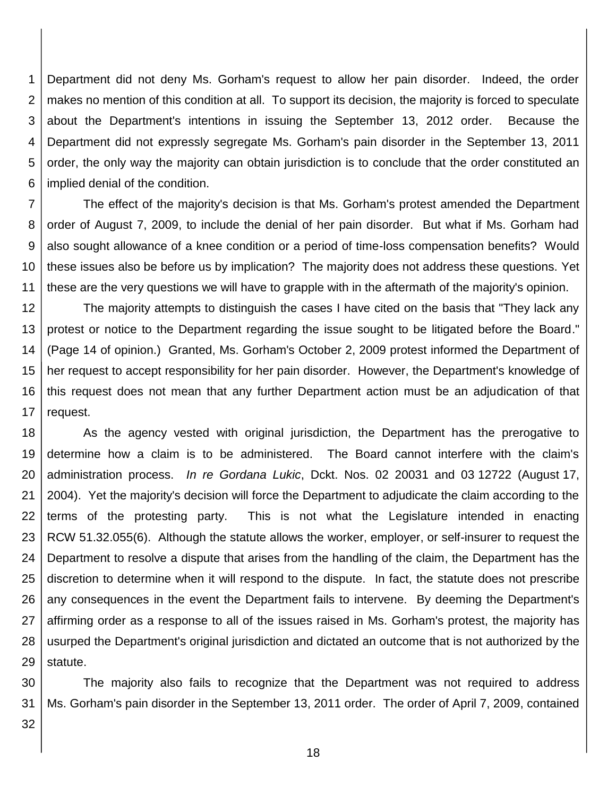1 2 3 4 5 6 Department did not deny Ms. Gorham's request to allow her pain disorder. Indeed, the order makes no mention of this condition at all. To support its decision, the majority is forced to speculate about the Department's intentions in issuing the September 13, 2012 order. Because the Department did not expressly segregate Ms. Gorham's pain disorder in the September 13, 2011 order, the only way the majority can obtain jurisdiction is to conclude that the order constituted an implied denial of the condition.

7 8 9 10 11 The effect of the majority's decision is that Ms. Gorham's protest amended the Department order of August 7, 2009, to include the denial of her pain disorder. But what if Ms. Gorham had also sought allowance of a knee condition or a period of time-loss compensation benefits? Would these issues also be before us by implication? The majority does not address these questions. Yet these are the very questions we will have to grapple with in the aftermath of the majority's opinion.

12 13 14 15 16 17 The majority attempts to distinguish the cases I have cited on the basis that "They lack any protest or notice to the Department regarding the issue sought to be litigated before the Board." (Page 14 of opinion.) Granted, Ms. Gorham's October 2, 2009 protest informed the Department of her request to accept responsibility for her pain disorder. However, the Department's knowledge of this request does not mean that any further Department action must be an adjudication of that request.

18 19 20 21 22 23 24 25 26 27 28 29 As the agency vested with original jurisdiction, the Department has the prerogative to determine how a claim is to be administered. The Board cannot interfere with the claim's administration process. *In re Gordana Lukic*, Dckt. Nos. 02 20031 and 03 12722 (August 17, 2004). Yet the majority's decision will force the Department to adjudicate the claim according to the terms of the protesting party. This is not what the Legislature intended in enacting RCW 51.32.055(6). Although the statute allows the worker, employer, or self-insurer to request the Department to resolve a dispute that arises from the handling of the claim, the Department has the discretion to determine when it will respond to the dispute. In fact, the statute does not prescribe any consequences in the event the Department fails to intervene. By deeming the Department's affirming order as a response to all of the issues raised in Ms. Gorham's protest, the majority has usurped the Department's original jurisdiction and dictated an outcome that is not authorized by the statute.

30 31 The majority also fails to recognize that the Department was not required to address Ms. Gorham's pain disorder in the September 13, 2011 order. The order of April 7, 2009, contained

32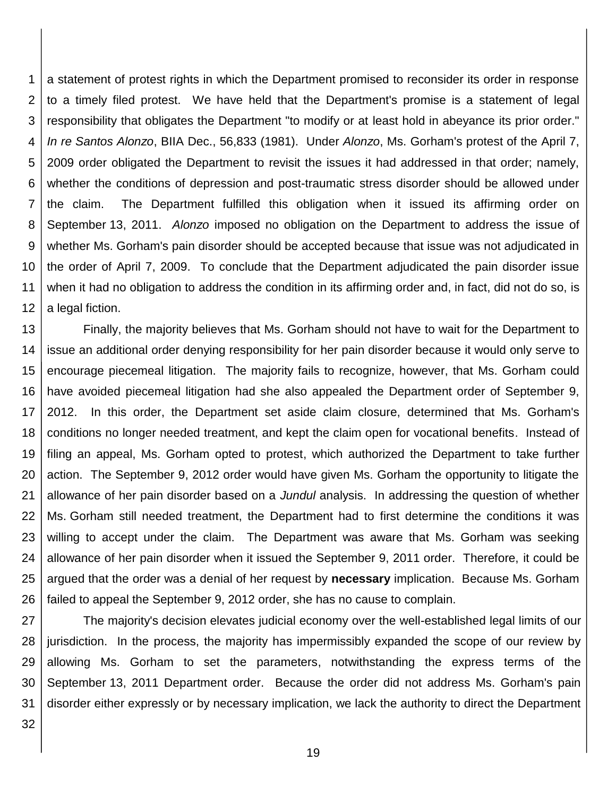1 2 3 4 5 6 7 8 9 10 11 12 a statement of protest rights in which the Department promised to reconsider its order in response to a timely filed protest. We have held that the Department's promise is a statement of legal responsibility that obligates the Department "to modify or at least hold in abeyance its prior order." *In re Santos Alonzo*, BIIA Dec., 56,833 (1981). Under *Alonzo*, Ms. Gorham's protest of the April 7, 2009 order obligated the Department to revisit the issues it had addressed in that order; namely, whether the conditions of depression and post-traumatic stress disorder should be allowed under the claim. The Department fulfilled this obligation when it issued its affirming order on September 13, 2011. *Alonzo* imposed no obligation on the Department to address the issue of whether Ms. Gorham's pain disorder should be accepted because that issue was not adjudicated in the order of April 7, 2009. To conclude that the Department adjudicated the pain disorder issue when it had no obligation to address the condition in its affirming order and, in fact, did not do so, is a legal fiction.

13 14 15 16 17 18 19 20 21 22 23 24 25 26 Finally, the majority believes that Ms. Gorham should not have to wait for the Department to issue an additional order denying responsibility for her pain disorder because it would only serve to encourage piecemeal litigation. The majority fails to recognize, however, that Ms. Gorham could have avoided piecemeal litigation had she also appealed the Department order of September 9, 2012. In this order, the Department set aside claim closure, determined that Ms. Gorham's conditions no longer needed treatment, and kept the claim open for vocational benefits. Instead of filing an appeal, Ms. Gorham opted to protest, which authorized the Department to take further action. The September 9, 2012 order would have given Ms. Gorham the opportunity to litigate the allowance of her pain disorder based on a *Jundul* analysis. In addressing the question of whether Ms. Gorham still needed treatment, the Department had to first determine the conditions it was willing to accept under the claim. The Department was aware that Ms. Gorham was seeking allowance of her pain disorder when it issued the September 9, 2011 order. Therefore, it could be argued that the order was a denial of her request by **necessary** implication. Because Ms. Gorham failed to appeal the September 9, 2012 order, she has no cause to complain.

27 28 29 30 31 The majority's decision elevates judicial economy over the well-established legal limits of our jurisdiction. In the process, the majority has impermissibly expanded the scope of our review by allowing Ms. Gorham to set the parameters, notwithstanding the express terms of the September 13, 2011 Department order. Because the order did not address Ms. Gorham's pain disorder either expressly or by necessary implication, we lack the authority to direct the Department

32